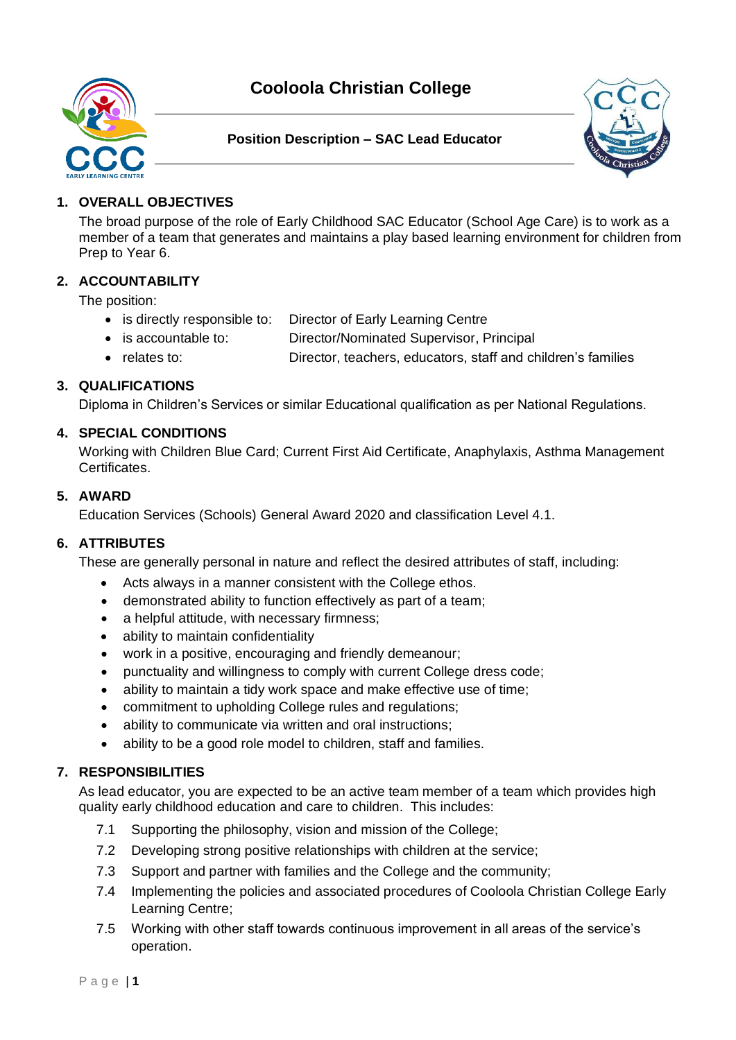# **Cooloola Christian College**







# **1. OVERALL OBJECTIVES**

The broad purpose of the role of Early Childhood SAC Educator (School Age Care) is to work as a member of a team that generates and maintains a play based learning environment for children from Prep to Year 6.

# **2. ACCOUNTABILITY**

The position:

- is directly responsible to: Director of Early Learning Centre
- is accountable to: Director/Nominated Supervisor, Principal
- relates to: Director, teachers, educators, staff and children's families

# **3. QUALIFICATIONS**

Diploma in Children's Services or similar Educational qualification as per National Regulations.

# **4. SPECIAL CONDITIONS**

Working with Children Blue Card; Current First Aid Certificate, Anaphylaxis, Asthma Management Certificates.

## **5. AWARD**

Education Services (Schools) General Award 2020 and classification Level 4.1.

# **6. ATTRIBUTES**

These are generally personal in nature and reflect the desired attributes of staff, including:

- Acts always in a manner consistent with the College ethos.
- demonstrated ability to function effectively as part of a team;
- a helpful attitude, with necessary firmness;
- ability to maintain confidentiality
- work in a positive, encouraging and friendly demeanour;
- punctuality and willingness to comply with current College dress code;
- ability to maintain a tidy work space and make effective use of time:
- commitment to upholding College rules and regulations;
- ability to communicate via written and oral instructions;
- ability to be a good role model to children, staff and families.

# **7. RESPONSIBILITIES**

As lead educator, you are expected to be an active team member of a team which provides high quality early childhood education and care to children. This includes:

- 7.1 Supporting the philosophy, vision and mission of the College;
- 7.2 Developing strong positive relationships with children at the service;
- 7.3 Support and partner with families and the College and the community;
- 7.4 Implementing the policies and associated procedures of Cooloola Christian College Early Learning Centre;
- 7.5 Working with other staff towards continuous improvement in all areas of the service's operation.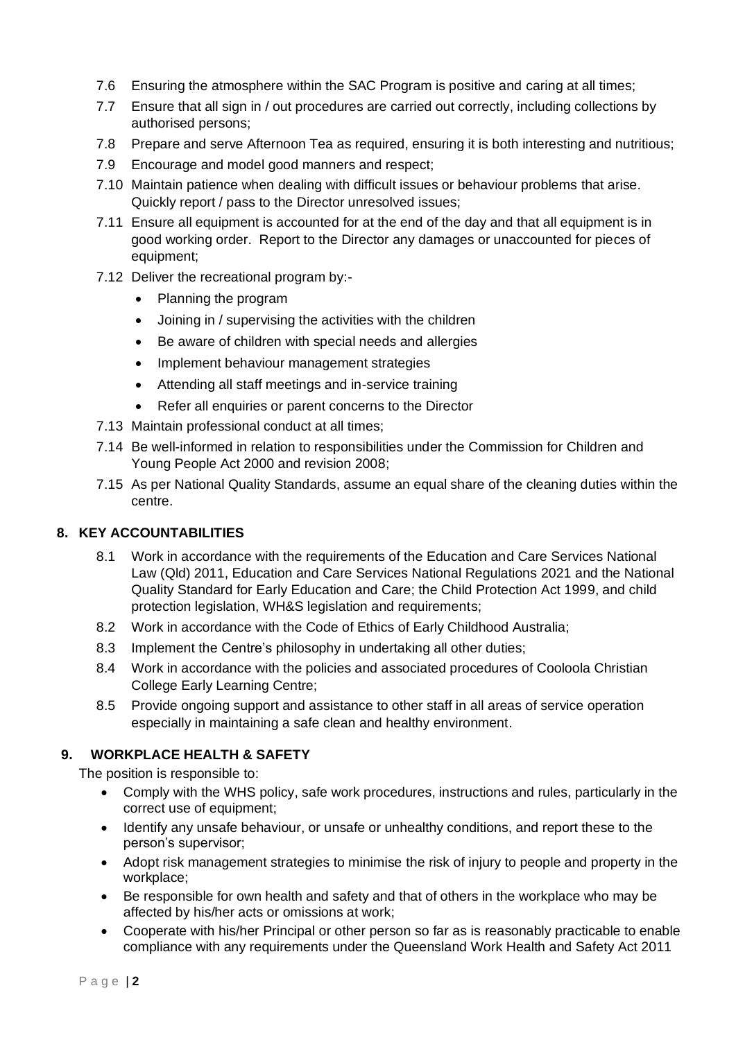- 7.6 Ensuring the atmosphere within the SAC Program is positive and caring at all times;
- 7.7 Ensure that all sign in / out procedures are carried out correctly, including collections by authorised persons;
- 7.8 Prepare and serve Afternoon Tea as required, ensuring it is both interesting and nutritious;
- 7.9 Encourage and model good manners and respect;
- 7.10 Maintain patience when dealing with difficult issues or behaviour problems that arise. Quickly report / pass to the Director unresolved issues;
- 7.11 Ensure all equipment is accounted for at the end of the day and that all equipment is in good working order. Report to the Director any damages or unaccounted for pieces of equipment;
- 7.12 Deliver the recreational program by:-
	- Planning the program
	- Joining in / supervising the activities with the children
	- Be aware of children with special needs and allergies
	- Implement behaviour management strategies
	- Attending all staff meetings and in-service training
	- Refer all enquiries or parent concerns to the Director
- 7.13 Maintain professional conduct at all times;
- 7.14 Be well-informed in relation to responsibilities under the Commission for Children and Young People Act 2000 and revision 2008;
- 7.15 As per National Quality Standards, assume an equal share of the cleaning duties within the centre.

# **8. KEY ACCOUNTABILITIES**

- 8.1 Work in accordance with the requirements of the Education and Care Services National Law (Qld) 2011, Education and Care Services National Regulations 2021 and the National Quality Standard for Early Education and Care; the Child Protection Act 1999, and child protection legislation, WH&S legislation and requirements;
- 8.2 Work in accordance with the Code of Ethics of Early Childhood Australia;
- 8.3 Implement the Centre's philosophy in undertaking all other duties;
- 8.4 Work in accordance with the policies and associated procedures of Cooloola Christian College Early Learning Centre;
- 8.5 Provide ongoing support and assistance to other staff in all areas of service operation especially in maintaining a safe clean and healthy environment.

# **9. WORKPLACE HEALTH & SAFETY**

The position is responsible to:

- Comply with the WHS policy, safe work procedures, instructions and rules, particularly in the correct use of equipment;
- Identify any unsafe behaviour, or unsafe or unhealthy conditions, and report these to the person's supervisor;
- Adopt risk management strategies to minimise the risk of injury to people and property in the workplace;
- Be responsible for own health and safety and that of others in the workplace who may be affected by his/her acts or omissions at work;
- Cooperate with his/her Principal or other person so far as is reasonably practicable to enable compliance with any requirements under the Queensland Work Health and Safety Act 2011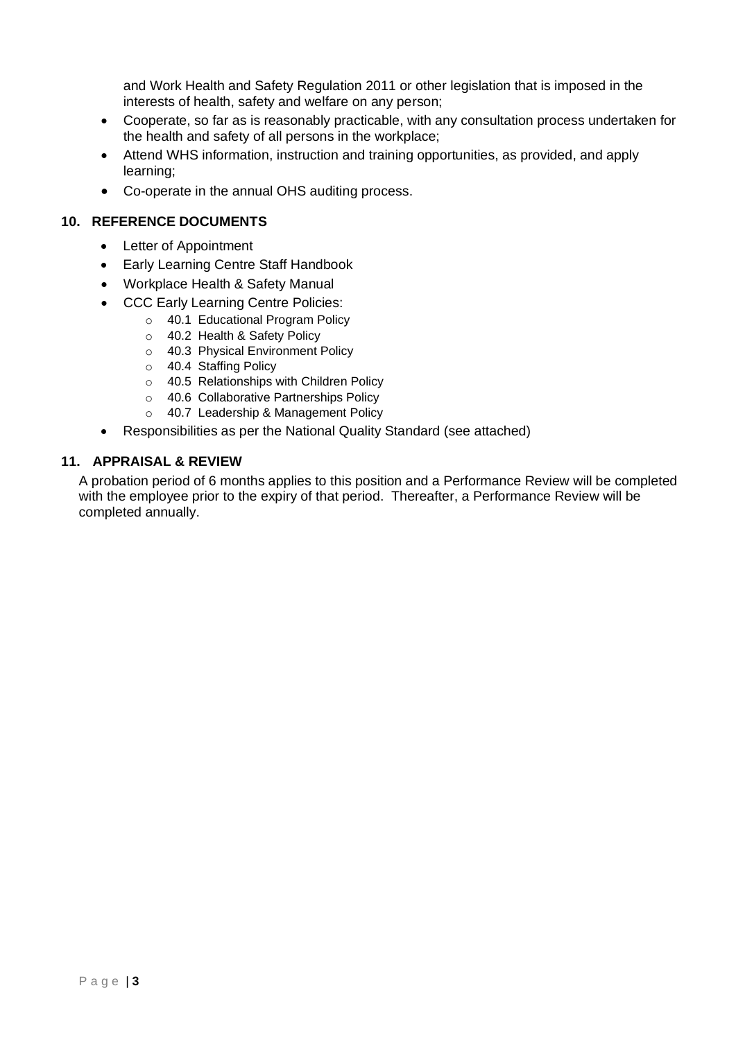and Work Health and Safety Regulation 2011 or other legislation that is imposed in the interests of health, safety and welfare on any person;

- Cooperate, so far as is reasonably practicable, with any consultation process undertaken for the health and safety of all persons in the workplace;
- Attend WHS information, instruction and training opportunities, as provided, and apply learning;
- Co-operate in the annual OHS auditing process.

## **10. REFERENCE DOCUMENTS**

- Letter of Appointment
- Early Learning Centre Staff Handbook
- Workplace Health & Safety Manual
- CCC Early Learning Centre Policies:
	- o 40.1 Educational Program Policy
		- o 40.2 Health & Safety Policy
		- o 40.3 Physical Environment Policy
		- o 40.4 Staffing Policy
		- o 40.5 Relationships with Children Policy
		- o 40.6 Collaborative Partnerships Policy
		- o 40.7 Leadership & Management Policy
- Responsibilities as per the National Quality Standard (see attached)

## **11. APPRAISAL & REVIEW**

A probation period of 6 months applies to this position and a Performance Review will be completed with the employee prior to the expiry of that period. Thereafter, a Performance Review will be completed annually.